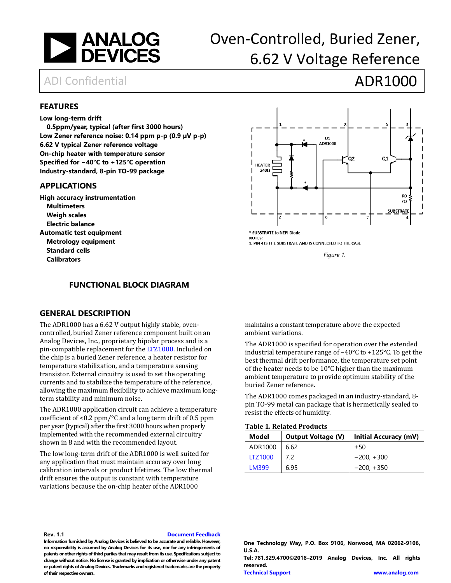

# Oven-Controlled, Buried Zener, 6.62 V Voltage Reference

## ADI Confidential **ADR1000**

#### <span id="page-0-0"></span>**FEATURES**

#### **Low long-term drift**

**0.5ppm/year, typical (after first 3000 hours) Low Zener reference noise: 0.14 ppm p-p (0.9 µV p-p) 6.62 V typical Zener reference voltage On-chip heater with temperature sensor Specified for −40°C to +125°C operation Industry-standard, 8-pin TO-99 package** 

#### <span id="page-0-1"></span>**APPLICATIONS**

**High accuracy instrumentation Multimeters Weigh scales Electric balance Automatic test equipment Metrology equipment Standard cells Calibrators**



\* SUBSTRATE to NEPI Diode **NOTES:** 

1. PIN 4 IS THE SUBSTRATE AND IS CONNECTED TO THE CASE

*Figure 1.*

#### **FUNCTIONAL BLOCK DIAGRAM**

#### <span id="page-0-3"></span><span id="page-0-2"></span>**GENERAL DESCRIPTION**

The ADR1000 has a 6.62 V output highly stable, ovencontrolled, buried Zener reference component built on an Analog Devices, Inc., proprietary bipolar process and is a pin-compatible replacement for th[e LTZ1000.](http://www.analog.com/LTZ1000?doc?ADR1000.pdf) Included on the chip is a buried Zener reference, a heater resistor for temperature stabilization, and a temperature sensing transistor. External circuitry is used to set the operating currents and to stabilize the temperature of the reference, allowing the maximum flexibility to achieve maximum longterm stability and minimum noise.

The ADR1000 application circuit can achieve a temperature coefficient of <0.2 ppm/°C and a long term drift of 0.5 ppm per year (typical) after the first 3000 hours when properly implemented with the recommended external circuitry shown in 8 and with the recommended layout.

The low long-term drift of the ADR1000 is well suited for any application that must maintain accuracy over long calibration intervals or product lifetimes. The low thermal drift ensures the output is constant with temperature variations because the on-chip heater of the ADR1000

maintains a constant temperature above the expected ambient variations.

The ADR1000 is specified for operation over the extended industrial temperature range of −40°C to +125°C. To get the best thermal drift performance, the temperature set point of the heater needs to be 10°C higher than the maximum ambient temperature to provide optimum stability of the buried Zener reference.

The ADR1000 comes packaged in an industry-standard, 8 pin TO-99 metal can package that is hermetically sealed to resist the effects of humidity.

#### **Table 1. Related Products**

| <b>Output Voltage (V)</b><br>Model |      | Initial Accuracy (mV) |  |  |
|------------------------------------|------|-----------------------|--|--|
| ADR1000                            | 6.62 | ±50                   |  |  |
| <b>LTZ1000</b>                     | 7.2  | $-200, +300$          |  |  |
| LM399                              | 6.95 | $-200, +350$          |  |  |

#### **Rev. 1.1 [Document Feedback](https://form.analog.com/Form_Pages/feedback/documentfeedback.aspx?doc=ADR1000.pdf&product=ADR1000&rev=SpA)**

**Information furnished by Analog Devices is believed to be accurate and reliable. However, no responsibility is assumed by Analog Devices for its use, nor for any infringements of patents or other rights of third parties that may result from its use. Specifications subject to change without notice. No license is granted by implication or otherwise under any patent or patent rights of Analog Devices. Trademarks and registered trademarks are the property of their respective owners.**

**Tel: 781.329.4700©2018–2019 Analog Devices, Inc. All rights reserved.**

**One Technology Way, P.O. Box 9106, Norwood, MA 02062-9106, U.S.A.**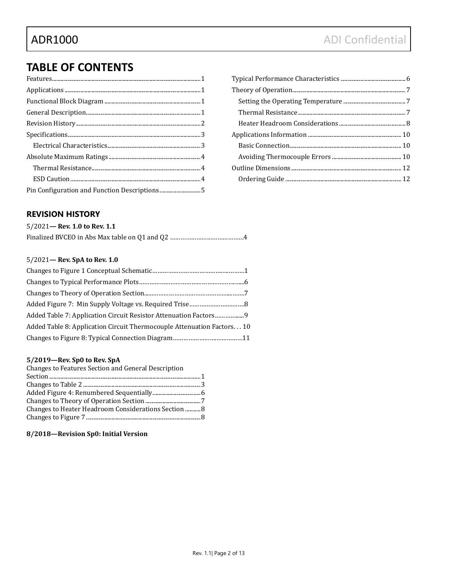## **TABLE OF CONTENTS**

### <span id="page-1-0"></span>**REVISION HISTORY**

#### 5/2021**— Rev. 1.0 to Rev. 1.1**

#### 5/2021**— Rev. SpA to Rev. 1.0**

| Added Table 8: Application Circuit Thermocouple Attenuation Factors 10 |  |
|------------------------------------------------------------------------|--|
|                                                                        |  |

#### **5/2019—Rev. Sp0 to Rev. SpA**

| Changes to Features Section and General Description |  |
|-----------------------------------------------------|--|
|                                                     |  |
|                                                     |  |
|                                                     |  |
|                                                     |  |
| Changes to Heater Headroom Considerations Section 8 |  |
|                                                     |  |
|                                                     |  |

#### **8/2018—Revision Sp0: Initial Version**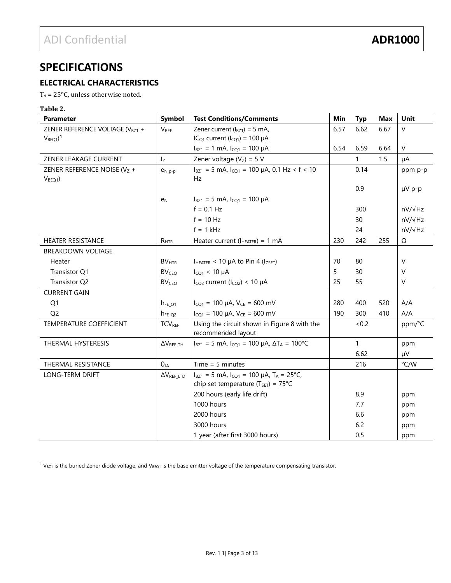## <span id="page-2-0"></span>**SPECIFICATIONS**

### <span id="page-2-1"></span>**ELECTRICAL CHARACTERISTICS**

 $T_A = 25^{\circ}C$ , unless otherwise noted.

### **Table 2.**

| <b>Parameter</b>                                    | Symbol                   | <b>Test Conditions/Comments</b>                                                                                  | Min  | <b>Typ</b>   | <b>Max</b> | Unit          |
|-----------------------------------------------------|--------------------------|------------------------------------------------------------------------------------------------------------------|------|--------------|------------|---------------|
| ZENER REFERENCE VOLTAGE (V <sub>BZ1</sub> +         | VREF                     | Zener current $(l_{BZ1}) = 5$ mA,                                                                                | 6.57 | 6.62         | 6.67       | $\vee$        |
| $VBEQ1$ <sup>1</sup>                                |                          | $ICQ1 current (ICQ1) = 100 \muA$                                                                                 |      |              |            |               |
|                                                     |                          | $I_{BZ1} = 1$ mA, $I_{CQ1} = 100$ µA                                                                             | 6.54 | 6.59         | 6.64       | $\mathsf{V}$  |
| ZENER LEAKAGE CURRENT                               | $I_{Z}$                  | Zener voltage $(V_Z) = 5 V$                                                                                      |      | $\mathbf{1}$ | 1.5        | μA            |
| ZENER REFERENCE NOISE ( $VZ$ +<br>V <sub>BEQ1</sub> | $e_{N,p-p}$              | $I_{BZ1}$ = 5 mA, $I_{CO1}$ = 100 µA, 0.1 Hz < f < 10<br>Hz                                                      |      | 0.14         |            | ppm p-p       |
|                                                     |                          |                                                                                                                  |      | 0.9          |            | µV p-p        |
|                                                     | e <sub>N</sub>           | $I_{BZ1} = 5$ mA, $I_{CO1} = 100$ µA                                                                             |      |              |            |               |
|                                                     |                          | $f = 0.1 Hz$                                                                                                     |      | 300          |            | nV/√Hz        |
|                                                     |                          | $f = 10 Hz$                                                                                                      |      | 30           |            | nV/√Hz        |
|                                                     |                          | $f = 1$ kHz                                                                                                      |      | 24           |            | nV/√Hz        |
| <b>HEATER RESISTANCE</b>                            | $R_{\rm HTR}$            | Heater current ( $I_{HEATER}$ ) = 1 mA                                                                           | 230  | 242          | 255        | Ω             |
| <b>BREAKDOWN VOLTAGE</b>                            |                          |                                                                                                                  |      |              |            |               |
| Heater                                              | <b>BV<sub>HTR</sub></b>  | $I_{HEATER}$ < 10 $\mu$ A to Pin 4 ( $I_{ZSET}$ )                                                                | 70   | 80           |            | $\vee$        |
| Transistor Q1                                       | <b>BV<sub>CEO</sub></b>  | $I_{CO1}$ < 10 µA                                                                                                | 5    | 30           |            | $\vee$        |
| Transistor Q2                                       | <b>BV<sub>CEO</sub></b>  | $I_{CQ2}$ current ( $I_{CQ2}$ ) < 10 µA                                                                          | 25   | 55           |            | V             |
| <b>CURRENT GAIN</b>                                 |                          |                                                                                                                  |      |              |            |               |
| Q1                                                  | $h_{FE_Q1}$              | $I_{CO1}$ = 100 µA, $V_{CE}$ = 600 mV                                                                            | 280  | 400          | 520        | A/A           |
| Q <sub>2</sub>                                      | $h_{FE_Q2}$              | $I_{CQ1}$ = 100 µA, $V_{CE}$ = 600 mV                                                                            | 190  | 300          | 410        | A/A           |
| <b>TEMPERATURE COEFFICIENT</b>                      | <b>TCV<sub>REF</sub></b> | Using the circuit shown in Figure 8 with the                                                                     |      | <0.2         |            | ppm/°C        |
|                                                     |                          | recommended layout                                                                                               |      |              |            |               |
| THERMAL HYSTERESIS                                  | $\Delta V_{REF\_TH}$     | $I_{BZ1}$ = 5 mA, $I_{CO1}$ = 100 µA, $\Delta T_A$ = 100°C                                                       |      | 1            |            | ppm           |
|                                                     |                          |                                                                                                                  |      | 6.62         |            | μV            |
| <b>THERMAL RESISTANCE</b>                           | $\Theta_{JA}$            | $Time = 5 minutes$                                                                                               |      | 216          |            | $\degree$ C/W |
| LONG-TERM DRIFT                                     | $\Delta V_{REF\_LTD}$    | $I_{BZ1} = 5$ mA, $I_{CQ1} = 100$ µA, T <sub>A</sub> = 25°C,<br>chip set temperature ( $T_{\text{SET}}$ ) = 75°C |      |              |            |               |
|                                                     |                          | 200 hours (early life drift)                                                                                     |      | 8.9          |            | ppm           |
|                                                     |                          | 1000 hours                                                                                                       |      | 7.7          |            | ppm           |
|                                                     |                          | 2000 hours                                                                                                       |      | 6.6          |            | ppm           |
|                                                     |                          | 3000 hours                                                                                                       |      | 6.2          |            | ppm           |
|                                                     |                          | 1 year (after first 3000 hours)                                                                                  |      | 0.5          |            | ppm           |

<span id="page-2-2"></span> $1$  V<sub>BZ1</sub> is the buried Zener diode voltage, and V<sub>BEQ1</sub> is the base emitter voltage of the temperature compensating transistor.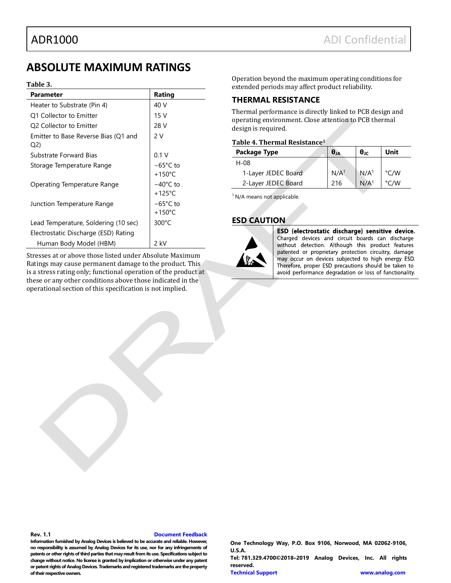## <span id="page-3-0"></span>**ABSOLUTE MAXIMUM RATINGS**

#### **Table 3.**

| Parameter                                   | Rating                                 |
|---------------------------------------------|----------------------------------------|
| Heater to Substrate (Pin 4)                 | 40 V                                   |
| Q1 Collector to Emitter                     | 15 <sub>V</sub>                        |
| Q2 Collector to Emitter                     | 28 V                                   |
| Emitter to Base Reverse Bias (Q1 and<br>Q2) | 2 V                                    |
| Substrate Forward Bias                      | 0.1V                                   |
| Storage Temperature Range                   | $-65^{\circ}$ C to<br>$+150^{\circ}$ C |
| Operating Temperature Range                 | $-40^{\circ}$ C to<br>$+125^{\circ}$ C |
| Junction Temperature Range                  | $-65^{\circ}$ C to<br>$+150^{\circ}$ C |
| Lead Temperature, Soldering (10 sec)        | $300^{\circ}$ C                        |
| Electrostatic Discharge (ESD) Rating        |                                        |
| Human Body Model (HBM)                      | $2$ kV                                 |

Stresses at or above those listed under Absolute Maximum Ratings may cause permanent damage to the product. This is a stress rating only; functional operation of the product at these or any other conditions above those indicated in the operational section of this specification is not implied.

Operation beyond the maximum operating conditions for extended periods may affect product reliability.

### <span id="page-3-1"></span>**THERMAL RESISTANCE**

Thermal performance is directly linked to PCB design and operating environment. Close attention to PCB thermal design is required.

#### **Table 4. Thermal Resistance1**

| <b>Package Type</b> | $\theta_{JA}$    | $\theta_{\rm JC}$ | Unit          |
|---------------------|------------------|-------------------|---------------|
| $H-08$              |                  |                   |               |
| 1-Layer JEDEC Board | N/A <sup>1</sup> | N/A <sup>1</sup>  | °C/W          |
| 2-Layer JEDEC Board | 216              | N/A <sup>1</sup>  | $\degree$ C/W |

<sup>1</sup> N/A means not applicable.

#### <span id="page-3-2"></span>**ESD CAUTION**



ESD (electrostatic discharge) sensitive device. Charged devices and circuit boards can discharge without detection. Although this product features patented or proprietary protection circuitry, damage may occur on devices subjected to high energy ESD. Therefore, proper ESD precautions should be taken to avoid performance degradation or loss of functionality.

**Rev. 1.1 [Document Feedback](https://form.analog.com/Form_Pages/feedback/documentfeedback.aspx?doc=ADR1000.pdf&product=ADR1000&rev=SpA)**

**Information furnished by Analog Devices is believed to be accurate and reliable. However, no responsibility is assumed by Analog Devices for its use, nor for any infringements of patents or other rights of third parties that may result from its use. Specifications subject to change without notice. No license is granted by implication or otherwise under any patent or patent rights of Analog Devices. Trademarks and registered trademarks are the property of their respective owners.**

**One Technology Way, P.O. Box 9106, Norwood, MA 02062-9106, U.S.A. Tel: 781.329.4700©2018–2019 Analog Devices, Inc. All rights reserved. [Technical Support](http://www.analog.com/en/content/technical_support_page/fca.html) [www.analog.com](http://www.analog.com/)**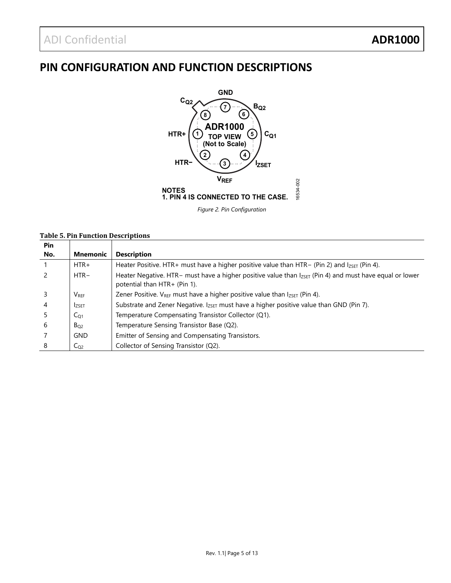## <span id="page-4-0"></span>**PIN CONFIGURATION AND FUNCTION DESCRIPTIONS**



*Figure 2. Pin Configuration* 

#### **Table 5. Pin Function Descriptions**

| <b>Pin</b> |                         |                                                                                                                                              |
|------------|-------------------------|----------------------------------------------------------------------------------------------------------------------------------------------|
| No.        | <b>Mnemonic</b>         | <b>Description</b>                                                                                                                           |
|            | $HTR+$                  | Heater Positive. HTR+ must have a higher positive value than HTR- (Pin 2) and $I_{ZSET}$ (Pin 4).                                            |
|            | $HTR -$                 | Heater Negative. HTR- must have a higher positive value than $I_{ZSET}$ (Pin 4) and must have equal or lower<br>potential than HTR+ (Pin 1). |
|            | <b>V</b> <sub>REF</sub> | Zener Positive. $V_{REF}$ must have a higher positive value than $I_{ZSET}$ (Pin 4).                                                         |
| 4          | <b>IZSET</b>            | Substrate and Zener Negative. Izset must have a higher positive value than GND (Pin 7).                                                      |
| 5          | $C_{O1}$                | Temperature Compensating Transistor Collector (Q1).                                                                                          |
| 6          | $B_{O2}$                | Temperature Sensing Transistor Base (Q2).                                                                                                    |
|            | <b>GND</b>              | Emitter of Sensing and Compensating Transistors.                                                                                             |
| 8          | C <sub>O2</sub>         | Collector of Sensing Transistor (Q2).                                                                                                        |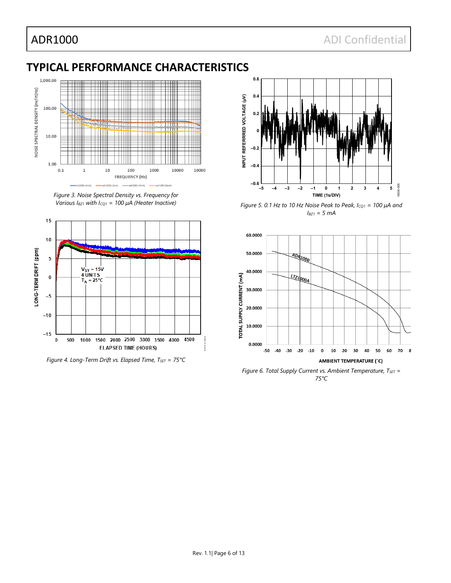## <span id="page-5-0"></span>**TYPICAL PERFORMANCE CHARACTERISTICS**



<span id="page-5-1"></span>*Figure 3. Noise Spectral Density vs. Frequency for Various IBZ1 with ICQ1 = 100 µA (Heater Inactive)*



<span id="page-5-2"></span>*Figure 4. Long-Term Drift vs. Elapsed Time, T<sub>SET</sub> = 75°C* 



*Figure 5. 0.1 Hz to 10 Hz Noise Peak to Peak, ICQ1 = 100 µA and IBZ1 = 5 mA*



<span id="page-5-3"></span>*75°C*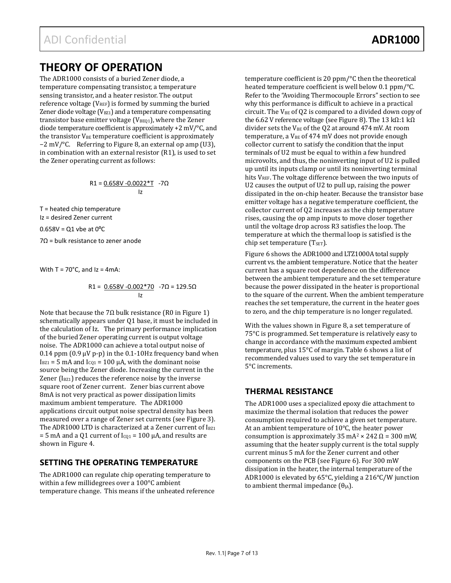## <span id="page-6-0"></span>**THEORY OF OPERATION**

The ADR1000 consists of a buried Zener diode, a temperature compensating transistor, a temperature sensing transistor, and a heater resistor. The output reference voltage ( $V_{REF}$ ) is formed by summing the buried Zener diode voltage ( $V<sub>BZ1</sub>$ ) and a temperature compensating transistor base emitter voltage ( $V_{BEQ1}$ ), where the Zener diode temperature coefficient is approximately +2 mV/°C, and the transistor  $V_{BE}$  temperature coefficient is approximately −2 mV/°C. Referring to Figure 8, an external op amp (U3), in combination with an external resistor (R1), is used to set the Zener operating current as follows:

$$
R1 = \underbrace{0.658V - 0.0022*T}_{Iz} - 7\Omega
$$

T = heated chip temperature Iz = desired Zener current

 $0.658V = Q1$  vbe at  $0^{\circ}C$ 

7Ω = bulk resistance to zener anode

With  $T = 70^{\circ}$ C, and  $Iz = 4$ mA:

$$
R1 = \frac{0.658V - 0.002 \cdot 70}{1z} - 7\Omega = 129.5\Omega
$$

Note that because the 7Ω bulk resistance (R0 in Figure 1) schematically appears under Q1 base, it must be included in the calculation of Iz. The primary performance implication of the buried Zener operating current is output voltage noise. The ADR1000 can achieve a total output noise of 0.14 ppm  $(0.9 \text{ uV p-p})$  in the 0.1-10Hz frequency band when  $I<sub>BZ1</sub> = 5$  mA and  $I<sub>CO1</sub> = 100$   $\mu$ A, with the dominant noise source being the Zener diode. Increasing the current in the Zener  $(I<sub>BZ1</sub>)$  reduces the reference noise by the inverse square root of Zener current. Zener bias current above 8mA is not very practical as power dissipation limits maximum ambient temperature. The ADR1000 applications circuit output noise spectral density has been measured over a range of Zener set currents (se[e Figure 3\)](#page-5-1). The ADR1000 LTD is characterized at a Zener current of IBZ1 = 5 mA and a Q1 current of  $I_{CQ1}$  = 100  $\mu$ A, and results are shown in [Figure 4.](#page-5-2)

### <span id="page-6-1"></span>**SETTING THE OPERATING TEMPERATURE**

The ADR1000 can regulate chip operating temperature to within a few millidegrees over a 100°C ambient temperature change. This means if the unheated reference temperature coefficient is 20 ppm/°C then the theoretical heated temperature coefficient is well below 0.1 ppm/°C. Refer to the ["Avoiding Thermocouple Errors"](#page-9-2) section to see why this performance is difficult to achieve in a practical circuit. The  $V_{BE}$  of Q2 is compared to a divided down copy of the 6.62 V reference voltage (see Figure 8). The 13 kΩ:1 kΩ divider sets the  $V_{BE}$  of the Q2 at around 474 mV. At room temperature, a  $V_{BE}$  of 474 mV does not provide enough collector current to satisfy the condition that the input terminals of U2 must be equal to within a few hundred microvolts, and thus, the noninverting input of U2 is pulled up until its inputs clamp or until its noninverting terminal hits V<sub>REF</sub>. The voltage difference between the two inputs of U2 causes the output of U2 to pull up, raising the power dissipated in the on-chip heater. Because the transistor base emitter voltage has a negative temperature coefficient, the collector current of Q2 increases as the chip temperature rises, causing the op amp inputs to move closer together until the voltage drop across R3 satisfies the loop. The temperature at which the thermal loop is satisfied is the chip set temperature ( $T_{\text{SET}}$ ).

[Figure 6](#page-5-3) shows the ADR1000 and LTZ1000A total supply current vs. the ambient temperature. Notice that the heater current has a square root dependence on the difference between the ambient temperature and the set temperature because the power dissipated in the heater is proportional to the square of the current. When the ambient temperature reaches the set temperature, the current in the heater goes to zero, and the chip temperature is no longer regulated.

With the values shown in Figure 8, a set temperature of 75°C is programmed. Set temperature is relatively easy to change in accordance with the maximum expected ambient temperature, plus 15°C of margin. Table 6 shows a list of recommended values used to vary the set temperature in 5°C increments.

### <span id="page-6-2"></span>**THERMAL RESISTANCE**

The ADR1000 uses a specialized epoxy die attachment to maximize the thermal isolation that reduces the power consumption required to achieve a given set temperature. At an ambient temperature of 10°C, the heater power consumption is approximately 35 mA<sup>2</sup> × 242  $\Omega$  = 300 mW, assuming that the heater supply current is the total supply current minus 5 mA for the Zener current and other components on the PCB (se[e Figure 6\)](#page-5-3). For 300 mW dissipation in the heater, the internal temperature of the ADR1000 is elevated by 65°C, yielding a 216°C/W junction to ambient thermal impedance  $(\theta_{IA})$ .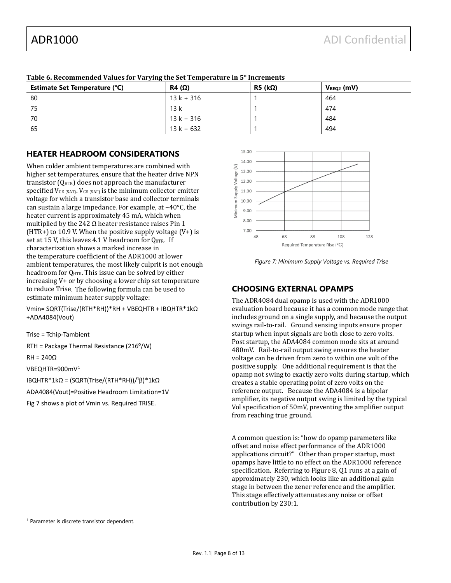| Table of Recommended Tardeb for Tarying the bet remperature in 8 Therements<br>Estimate Set Temperature (°C) | $R5$ (k $\Omega$ )<br>$R4(\Omega)$ |  | $V_{BEQ2}$ (mV) |  |
|--------------------------------------------------------------------------------------------------------------|------------------------------------|--|-----------------|--|
| -80                                                                                                          | $13k + 316$                        |  | 464             |  |
| 75                                                                                                           | 13k                                |  | 474             |  |
| 70                                                                                                           | $13 k - 316$                       |  | 484             |  |
| 65                                                                                                           | $13 k - 632$                       |  | 494             |  |

**Table 6. Recommended Values for Varying the Set Temperature in 5° Increments**

#### <span id="page-7-0"></span>**HEATER HEADROOM CONSIDERATIONS**

When colder ambient temperatures are combined with higher set temperatures, ensure that the heater drive NPN transistor  $(Q<sub>HTR</sub>)$  does not approach the manufacturer specified  $V_{CE$  (SAT).  $V_{CE}$  (SAT) is the minimum collector emitter voltage for which a transistor base and collector terminals can sustain a large impedance. For example, at −40°C, the heater current is approximately 45 mA, which when multiplied by the 242  $\Omega$  heater resistance raises Pin 1 (HTR+) to 10.9 V. When the positive supply voltage  $(V+)$  is set at 15 V, this leaves 4.1 V headroom for QHTR. If characterization shows a marked increase in the temperature coefficient of the ADR1000 at lower ambient temperatures, the most likely culprit is not enough headroom for  $Q_{\text{HTR}}$ . This issue can be solved by either increasing V+ or by choosing a lower chip set temperature to reduce Trise. The following formula can be used to estimate minimum heater supply voltage:

Vmin= SQRT(Trise/(RTH\*RH))\*RH + VBEQHTR + IBQHTR\*1kΩ +ADA4084(Vout)

Trise = Tchip-Tambient

RTH = Package Thermal Resistance ( $216^{\circ}/W$ )

RH = 240Ω

VBEQHTR=900mV[1](#page-7-1)

IBQHTR\*1kΩ = (SQRT(Trise/(RTH\*RH))/<sup>1</sup>β)\*1kΩ

ADA4084(Vout)=Positive Headroom Limitation=1V

<span id="page-7-1"></span>Fig 7 shows a plot of Vmin vs. Required TRISE.



*Figure 7: Minimum Supply Voltage vs. Required Trise*

### **CHOOSING EXTERNAL OPAMPS**

The ADR4084 dual opamp is used with the ADR1000 evaluation board because it has a common mode range that includes ground on a single supply, and because the output swings rail-to-rail. Ground sensing inputs ensure proper startup when input signals are both close to zero volts. Post startup, the ADA4084 common mode sits at around 480mV. Rail-to-rail output swing ensures the heater voltage can be driven from zero to within one volt of the positive supply. One additional requirement is that the opamp not swing to exactly zero volts during startup, which creates a stable operating point of zero volts on the reference output. Because the ADA4084 is a bipolar amplifier, its negative output swing is limited by the typical Vol specification of 50mV, preventing the amplifier output from reaching true ground.

A common question is: "how do opamp parameters like offset and noise effect performance of the ADR1000 applications circuit?" Other than proper startup, most opamps have little to no effect on the ADR1000 reference specification. Referring to Figure 8, Q1 runs at a gain of approximately 230, which looks like an additional gain stage in between the zener reference and the amplifier. This stage effectively attenuates any noise or offset contribution by 230:1.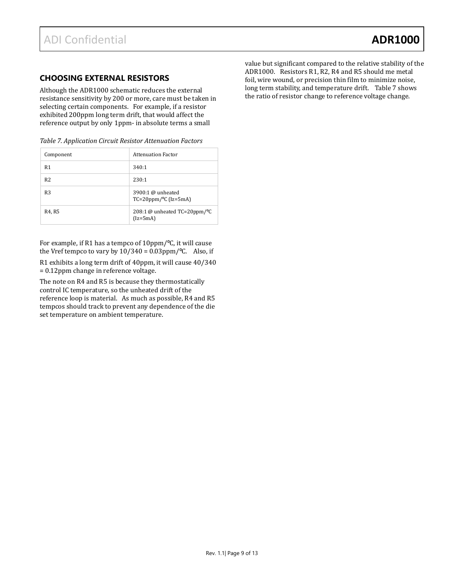#### **CHOOSING EXTERNAL RESISTORS**

Although the ADR1000 schematic reduces the external resistance sensitivity by 200 or more, care must be taken in selecting certain components. For example, if a resistor exhibited 200ppm long term drift, that would affect the reference output by only 1ppm- in absolute terms a small

| Table 7. Application Circuit Resistor Attenuation Factors |  |  |  |
|-----------------------------------------------------------|--|--|--|
|-----------------------------------------------------------|--|--|--|

| Component      | <b>Attenuation Factor</b>                                |
|----------------|----------------------------------------------------------|
| R <sub>1</sub> | 340:1                                                    |
| R <sub>2</sub> | 230:1                                                    |
| R <sub>3</sub> | 3900:1 $@$ unheated<br>$TC=20$ ppm/ $\degree$ C (Iz=5mA) |
| R4, R5         | 208:1 @ unheated $TC=20$ ppm/ $\degree$ C<br>$(Iz=5mA)$  |

For example, if R1 has a tempco of 10ppm/<sup>o</sup>C, it will cause the Vref tempco to vary by  $10/340 = 0.03$ ppm/°C. Also, if

R1 exhibits a long term drift of 40ppm, it will cause 40/340 = 0.12ppm change in reference voltage.

The note on R4 and R5 is because they thermostatically control IC temperature, so the unheated drift of the reference loop is material. As much as possible, R4 and R5 tempcos should track to prevent any dependence of the die set temperature on ambient temperature.

value but significant compared to the relative stability of the ADR1000. Resistors R1, R2, R4 and R5 should me metal foil, wire wound, or precision thin film to minimize noise, long term stability, and temperature drift. Table 7 shows the ratio of resistor change to reference voltage change.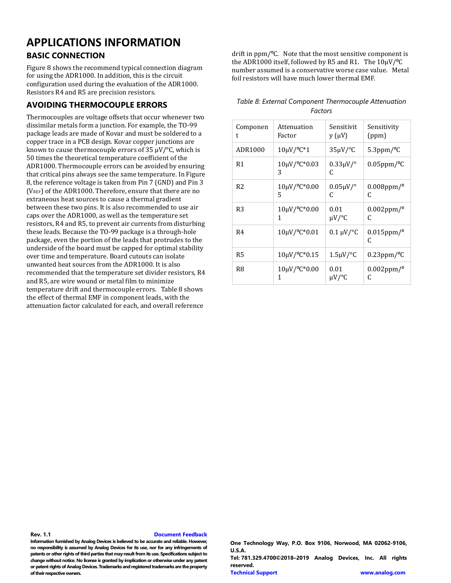## <span id="page-9-0"></span>**APPLICATIONS INFORMATION**

#### <span id="page-9-1"></span>**BASIC CONNECTION**

[Figure 8](#page-10-0) shows the recommend typical connection diagram for using the ADR1000. In addition, this is the circuit configuration used during the evaluation of the ADR1000. Resistors R4 and R5 are precision resistors.

#### <span id="page-9-2"></span>**AVOIDING THERMOCOUPLE ERRORS**

Thermocouples are voltage offsets that occur whenever two dissimilar metals form a junction. For example, the TO-99 package leads are made of Kovar and must be soldered to a copper trace in a PCB design. Kovar copper junctions are known to cause thermocouple errors of 35  $\mu$ V/°C, which is 50 times the theoretical temperature coefficient of the ADR1000. Thermocouple errors can be avoided by ensuring that critical pins always see the same temperature. In [Figure](#page-10-0)  [8,](#page-10-0) the reference voltage is taken from Pin 7 (GND) and Pin 3 (VREF) of the ADR1000. Therefore, ensure that there are no extraneous heat sources to cause a thermal gradient between these two pins. It is also recommended to use air caps over the ADR1000, as well as the temperature set resistors, R4 and R5, to prevent air currents from disturbing these leads. Because the TO-99 package is a through-hole package, even the portion of the leads that protrudes to the underside of the board must be capped for optimal stability over time and temperature. Board cutouts can isolate unwanted heat sources from the ADR1000. It is also recommended that the temperature set divider resistors, R4 and R5, are wire wound or metal film to minimize temperature drift and thermocouple errors. Table 8 shows the effect of thermal EMF in component leads, with the attenuation factor calculated for each, and overall reference

drift in ppm/<sup>o</sup>C. Note that the most sensitive component is the ADR1000 itself, followed by R5 and R1. The  $10\mu$ V/<sup>o</sup>C number assumed is a conservative worse case value. Metal foil resistors will have much lower thermal EMF.

| Table 8: External Component Thermocouple Attenuation |  |  |  |  |
|------------------------------------------------------|--|--|--|--|
| Factors                                              |  |  |  |  |

| Componen       | Attenuation                         | Sensitivit           | Sensitivity                  |  |
|----------------|-------------------------------------|----------------------|------------------------------|--|
| t              | Factor                              | $y(\mu V)$           | (ppm)                        |  |
| ADR1000        | $10 \mu V / {}^{o}C^{*}1$           | $35 \mu V$ /°C       | $5.3$ ppm/ $^{\circ}$ C      |  |
| R1             | $10 \mu V / {}^{\circ}C^*0.03$<br>3 | $0.33 \mu V$ /°<br>C | $0.05$ ppm/°C                |  |
| R <sub>2</sub> | $10 \mu V / {}^{o}C^{*}0.00$        | $0.05 \mu V$ /°      | $0.008$ ppm/ $^{\circ}$      |  |
|                | 5                                   | C                    | C                            |  |
| R3             | $10 \mu V / {}^{o}C^{*}0.00$        | 0.01                 | $0.002$ ppm/ $^{\circ}$      |  |
|                | 1                                   | µV/°C                | C                            |  |
| R4             | $10 \mu V / {}^{o}C^{*}0.01$        | $0.1 \mu V$ /°C      | $0.015$ ppm/ $^{\circ}$<br>C |  |
| R5             | $10 \mu V / {}^{o}C^{*}0.15$        | $1.5 \mu V$ /°C      | $0.23$ ppm/ $\degree$ C      |  |
| R8             | $10 \mu V / {}^{o}C^{*}0.00$        | 0.01                 | $0.002$ ppm/ $^{\circ}$      |  |
|                | 1                                   | μV/°C                | C                            |  |

**Rev. 1.1 [Document Feedback](https://form.analog.com/Form_Pages/feedback/documentfeedback.aspx?doc=ADR1000.pdf&product=ADR1000&rev=SpA)**

**Information furnished by Analog Devices is believed to be accurate and reliable. However, no responsibility is assumed by Analog Devices for its use, nor for any infringements of patents or other rights of third parties that may result from its use. Specifications subject to change without notice. No license is granted by implication or otherwise under any patent or patent rights of Analog Devices. Trademarks and registered trademarks are the property of their respective owners.**

**One Technology Way, P.O. Box 9106, Norwood, MA 02062-9106, U.S.A. Tel: 781.329.4700©2018–2019 Analog Devices, Inc. All rights reserved. [Technical Support](http://www.analog.com/en/content/technical_support_page/fca.html) [www.analog.com](http://www.analog.com/)**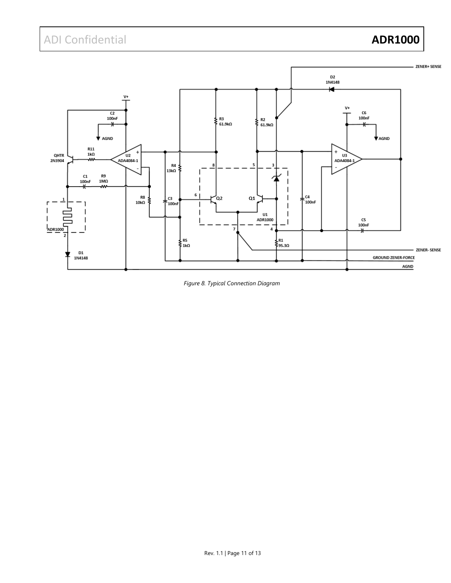## ADI Confidential **ADR1000**



<span id="page-10-0"></span>*Figure 8. Typical Connection Diagram*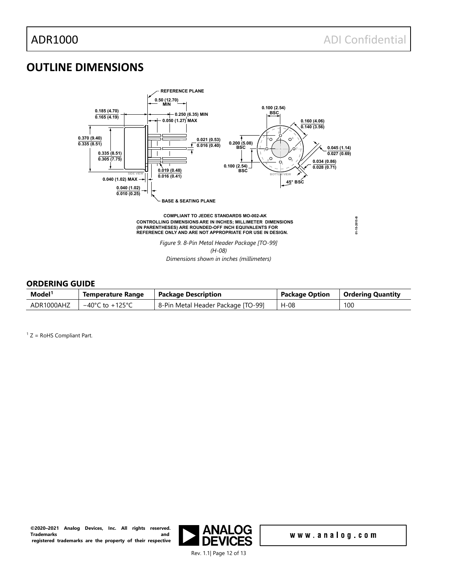## <span id="page-11-0"></span>**OUTLINE DIMENSIONS**



#### <span id="page-11-1"></span>**ORDERING GUIDE**

| Model <sup>1</sup> | <b>Temperature Range</b>            | <b>Package Description</b>         | <b>Package Option</b> | Ordering Quantity |
|--------------------|-------------------------------------|------------------------------------|-----------------------|-------------------|
| ADR1000AHZ         | $-40^{\circ}$ C to $+125^{\circ}$ C | 8-Pin Metal Header Package [TO-99] | H-08                  | 100               |

<span id="page-11-2"></span> $1 Z =$  RoHS Compliant Part.

**©2020–2021 Analog Devices, Inc. All rights reserved. Trademarks registered trademarks are the property of their respective** 



www.analog.com